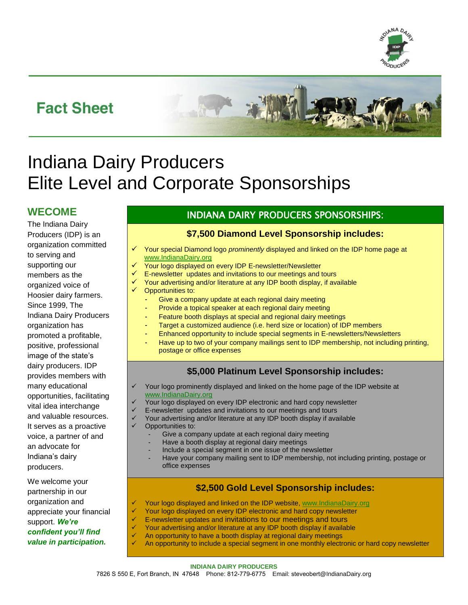

# **Fact Sheet**



# Indiana Dairy Producers Elite Level and Corporate Sponsorships

## **WECOME**

The Indiana Dairy Producers (IDP) is an organization committed to serving and supporting our members as the organized voice of Hoosier dairy farmers. Since 1999, The Indiana Dairy Producers organization has promoted a profitable, positive, professional image of the state's dairy producers. IDP provides members with many educational opportunities, facilitating vital idea interchange and valuable resources. It serves as a proactive voice, a partner of and an advocate for Indiana's dairy producers.

We welcome your partnership in our organization and appreciate your financial support. *We're confident you'll find value in participation.* 

#### INDIANA DAIRY PRODUCERS SPONSORSHIPS:

#### **\$7,500 Diamond Level Sponsorship includes:**

- Your special Diamond logo *prominently* displayed and linked on the IDP home page at [www.IndianaDairy.org](http://www.indianadairy.org/)
- Your logo displayed on every IDP E-newsletter/Newsletter
- E-newsletter updates and invitations to our meetings and tours
- Your advertising and/or literature at any IDP booth display, if available
- Opportunities to:
	- Give a company update at each regional dairy meeting
	- Provide a topical speaker at each regional dairy meeting
	- Feature booth displays at special and regional dairy meetings
	- Target a customized audience (i.e. herd size or location) of IDP members
	- Enhanced opportunity to include special segments in E-newsletters/Newsletters
	- Have up to two of your company mailings sent to IDP membership, not including printing, postage or office expenses

#### **\$5,000 Platinum Level Sponsorship includes:**

- Your logo prominently displayed and linked on the home page of the IDP website at [www.IndianaDairy.org](http://www.indianadairy.org/)
	- Your logo displayed on every IDP electronic and hard copy newsletter
	- E-newsletter updates and invitations to our meetings and tours
- Your advertising and/or literature at any IDP booth display if available
- Opportunities to:
	- Give a company update at each regional dairy meeting
	- Have a booth display at regional dairy meetings
	- Include a special segment in one issue of the newsletter
	- Have your company mailing sent to IDP membership, not including printing, postage or office expenses

#### **\$2,500 Gold Level Sponsorship includes:**

- Your logo displayed and linked on the IDP website[, www.IndianaDairy.org](http://www.indianadairy.org/)
- Your logo displayed on every IDP electronic and hard copy newsletter
- E-newsletter updates and invitations to our meetings and tours
- Your advertising and/or literature at any IDP booth display if available
- An opportunity to have a booth display at regional dairy meetings
- An opportunity to include a special segment in one monthly electronic or hard copy newsletter